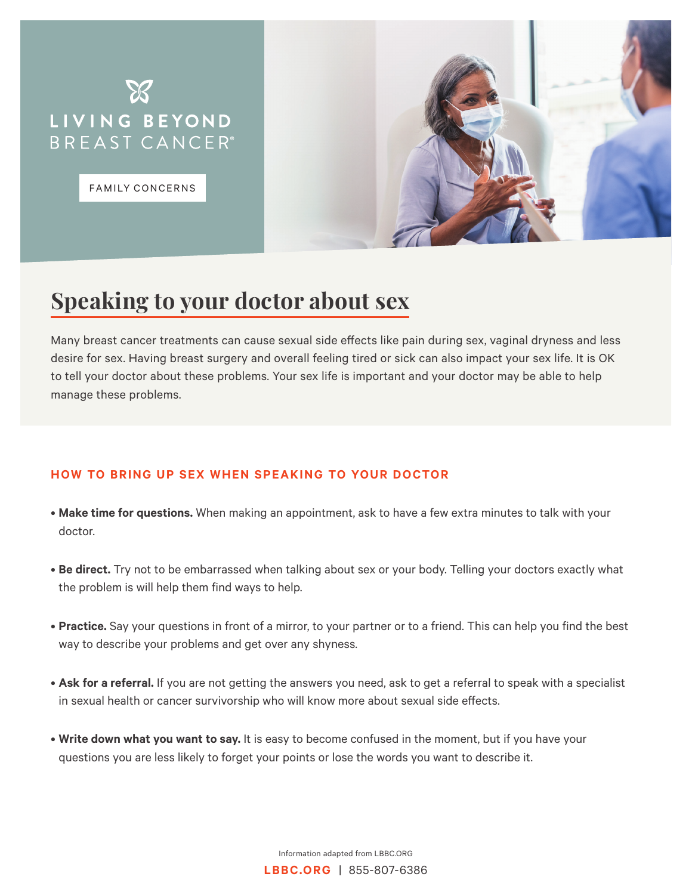

FAMILY CONCERNS



## **Speaking to your doctor about sex**

Many breast cancer treatments can cause sexual side effects like pain during sex, vaginal dryness and less desire for sex. Having breast surgery and overall feeling tired or sick can also impact your sex life. It is OK to tell your doctor about these problems. Your sex life is important and your doctor may be able to help manage these problems.

## **HOW TO BRING UP SEX WHEN SPEAKING TO YOUR DOCTOR**

- **Make time for questions.** When making an appointment, ask to have a few extra minutes to talk with your doctor.
- **Be direct.** Try not to be embarrassed when talking about sex or your body. Telling your doctors exactly what the problem is will help them find ways to help.
- **Practice.** Say your questions in front of a mirror, to your partner or to a friend. This can help you find the best way to describe your problems and get over any shyness.
- **Ask for a referral.** If you are not getting the answers you need, ask to get a referral to speak with a specialist in sexual health or cancer survivorship who will know more about sexual side effects.
- **Write down what you want to say.** It is easy to become confused in the moment, but if you have your questions you are less likely to forget your points or lose the words you want to describe it.

Information adapted from LBBC.ORG **LBBC.ORG** | 855-807-6386